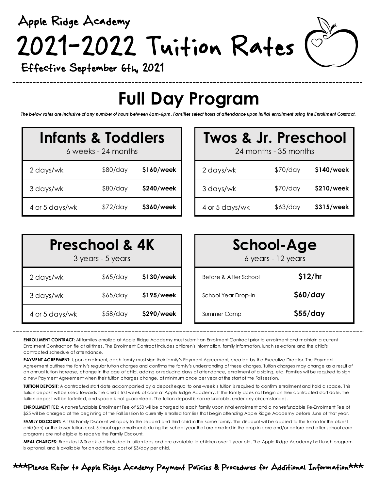Apple Ridge Academy 2021-2022 Tuition Rates

Effective September 6th, 2021

## **Full Day Program**

*The below rates are inclusive of any number of hours between 6am-6pm. Families select hours of attendance upon initial enrollment using the Enrollment Contract.*

| Infants & Toddlers<br>6 weeks - 24 months |          |            |  |  |
|-------------------------------------------|----------|------------|--|--|
| 2 days/wk                                 | \$80/day | \$160/week |  |  |
| 3 days/wk                                 | \$80/day | \$240/week |  |  |
| 4 or 5 days/wk                            | \$72/day | \$360/week |  |  |

# **Infants & Toddlers Twos & Jr. Preschool** 24 months - 35 months

| 2 days/wk      | \$80/day | \$160/week | 2 days/wk      | \$70/day | \$140/week |
|----------------|----------|------------|----------------|----------|------------|
| 3 days/wk      | \$80/day | \$240/week | 3 days/wk      | \$70/day | \$210/week |
| 4 or 5 days/wk | \$72/day | \$360/week | 4 or 5 days/wk | \$63/day | \$315/week |

| <b>Preschool &amp; 4K</b><br>3 years - 5 years |          | <b>School-Age</b><br>6 years - 12 years |                       |          |
|------------------------------------------------|----------|-----------------------------------------|-----------------------|----------|
| 2 days/wk                                      | \$65/day | \$130/week                              | Before & After School | \$12/hr  |
| 3 days/wk                                      | \$65/day | \$195/week                              | School Year Drop-In   | \$60/day |
| 4 or 5 days/wk                                 | \$58/day | \$290/week                              | Summer Camp           | \$55/day |

**ENROLLMENT CONTRACT:** All families enrolled at Apple Ridge Academy must submit an Enrollment Contract prior to enrollment and maintain a current Enrollment Contract on file at all times. The Enrollment Contract includes children's information, family information, lunch selections and the child's contracted schedule of attendance.

PAYMENT AGREEMENT: Upon enrollment, each family must sign their family's Payment Agreement, created by the Executive Director. The Payment Agreement outlines the family's regular tuition charges and confirms the family's understanding of these charges. Tuition charges may change as a result of an annual tuition increase, change in the age of child, adding or reducing days of attendance, enrollment of a sibling, etc. Families will be required to sign a new Payment Agreement when their tuition charges change, at minimum once per year at the start of the Fall session.

**TUITION DEPOSIT:** A contracted start date accompanied by a deposit equal to one-week's tuition is required to confirm enrollment and hold a space. This tuition deposit will be used towards the child's first week of care at Apple Ridge Academy. If the family does not begin on their contracted start date, the tuition deposit will be forfeited, and space is not guaranteed. The tuition deposit is non-refundable, under any circumstances.

**ENROLLMENT FEE:** A non-refundable Enrollment Fee of \$50 will be charged to each family upon initial enrollment and a non-refundable Re-Enrollment Fee of \$25 will be charged at the beginning of the Fall Session to currently enrolled families that begin attending Apple Ridge Academy before June of that year.

FAMILY DISCOUNT: A 10% Family Discount will apply to the second and third child in the same family. The discount will be applied to the tuition for the oldest child(ren) or the lesser tuition cost. School age enrollments during the school year that are enrolled in the drop-in care and/or before and after school care programs are not eligible to receive the Family Discount.

**MEAL CHARGES:** Breakfast & Snack are included in tuition fees and are available to children over 1-year-old. The Apple Ridge Academy hot-lunch program is optional, and is available for an additional cost of \$3/day per child.

### \*\*\*Please Refer to Apple Ridge Academy Payment Policies & Procedures for Additional Information\*\*\*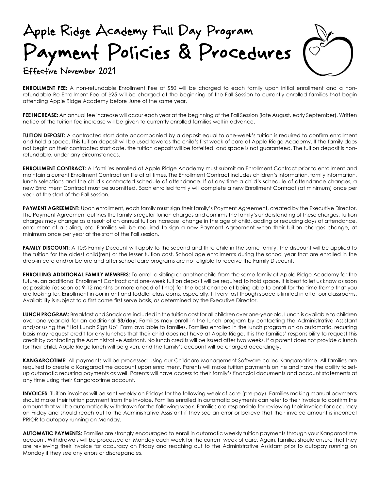### Apple Ridge Academy Full Day Program Payment Policies & Procedures Effective November 2021



**ENROLLMENT FEE:** A non-refundable Enrollment Fee of \$50 will be charged to each family upon initial enrollment and a nonrefundable Re-Enrollment Fee of \$25 will be charged at the beginning of the Fall Session to currently enrolled families that begin

attending Apple Ridge Academy before June of the same year.

FEE INCREASE: An annual fee increase will occur each year at the beginning of the Fall Session (late August, early September). Written notice of the tuition fee increase will be given to currently enrolled families well in advance.

**TUITION DEPOSIT:** A contracted start date accompanied by a deposit equal to one-week's tuition is required to confirm enrollment and hold a space. This tuition deposit will be used towards the child's first week of care at Apple Ridge Academy. If the family does not begin on their contracted start date, the tuition deposit will be forfeited, and space is not guaranteed. The tuition deposit is nonrefundable, under any circumstances.

**ENROLLMENT CONTRACT:** All families enrolled at Apple Ridge Academy must submit an Enrollment Contract prior to enrollment and maintain a current Enrollment Contract on file at all times. The Enrollment Contract includes children's information, family information, lunch selections and the child's contracted schedule of attendance. If at any time a child's schedule of attendance changes, a new Enrollment Contract must be submitted. Each enrolled family will complete a new Enrollment Contract (at minimum) once per year at the start of the Fall session.

PAYMENT AGREEMENT: Upon enrollment, each family must sign their family's Payment Agreement, created by the Executive Director. The Payment Agreement outlines the family's regular tuition charges and confirms the family's understanding of these charges. Tuition charges may change as a result of an annual tuition increase, change in the age of child, adding or reducing days of attendance, enrollment of a sibling, etc. Families will be required to sign a new Payment Agreement when their tuition charges change, at minimum once per year at the start of the Fall session.

**FAMILY DISCOUNT:** A 10% Family Discount will apply to the second and third child in the same family. The discount will be applied to the tuition for the oldest child(ren) or the lesser tuition cost. School age enrollments during the school year that are enrolled in the drop-in care and/or before and after school care programs are not eligible to receive the Family Discount.

**ENROLLING ADDITIONAL FAMILY MEMBERS:** To enroll a sibling or another child from the same family at Apple Ridge Academy for the future, an additional Enrollment Contract and one-week tuition deposit will be required to hold space. It is best to let us know as soon as possible (as soon as 9-12 months or more ahead of time) for the best chance at being able to enroll for the time frame that you are looking for. Enrollment in our infant and toddler classrooms, especially, fill very fast though space is limited in all of our classrooms. Availability is subject to a first come first serve basis, as determined by the Executive Director.

**LUNCH PROGRAM:** Breakfast and Snack are included in the tuition cost for all children over one-year-old. Lunch is available to children over one-year-old for an additional **\$3/day**. Families may enroll in the lunch program by contacting the Administrative Assistant and/or using the "Hot Lunch Sign Up" Form available to families. Families enrolled in the lunch program on an automatic, recurring basis may request credit for any lunches that their child does not have at Apple Ridge. It is the families' responsibility to request this credit by contacting the Administrative Assistant. No lunch credits will be issued after two weeks. If a parent does not provide a lunch for their child, Apple Ridge lunch will be given, and the family's account will be charged accordingly.

**KANGAROOTIME:** All payments will be processed using our Childcare Management Software called Kangarootime. All families are required to create a Kangarootime account upon enrollment. Parents will make tuition payments online and have the ability to setup automatic recurring payments as well. Parents will have access to their family's financial documents and account statements at any time using their Kangarootime account.

**INVOICES:** Tuition invoices will be sent weekly on Fridays for the following week of care (pre-pay). Families making manual payments should make their tuition payment from the invoice. Families enrolled in automatic payments can refer to their invoice to confirm the amount that will be automatically withdrawn for the following week. Families are responsible for reviewing their invoice for accuracy on Friday and should reach out to the Administrative Assistant if they see an error or believe that their invoice amount is incorrect PRIOR to autopay running on Monday.

**AUTOMATIC PAYMENTS:** Families are strongly encouraged to enroll in automatic weekly tuition payments through your Kangarootime account. Withdrawals will be processed on Monday each week for the current week of care. Again, families should ensure that they are reviewing their invoice for accuracy on Friday and reaching out to the Administrative Assistant prior to autopay running on Monday if they see any errors or discrepancies.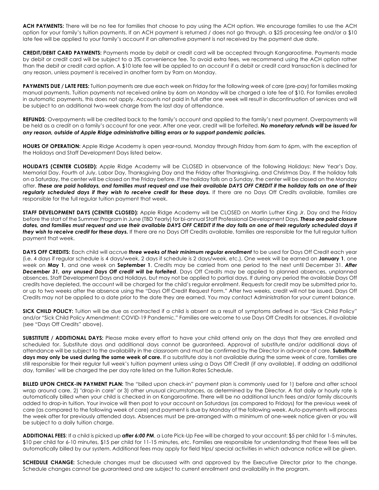**ACH PAYMENTS:** There will be no fee for families that choose to pay using the ACH option. We encourage families to use the ACH option for your family's tuition payments. If an ACH payment is returned / does not go through, a \$25 processing fee and/or a \$10 late fee will be applied to your family's account if an alternative payment is not received by the payment due date.

**CREDIT/DEBIT CARD PAYMENTS:** Payments made by debit or credit card will be accepted through Kangarootime. Payments made by debit or credit card will be subject to a 3% convenience fee. To avoid extra fees, we recommend using the ACH option rather than the debit or credit card option. A \$10 late fee will be applied to an account if a debit or credit card transaction is declined for any reason, unless payment is received in another form by 9am on Monday.

**PAYMENTS DUE / LATE FEES:** Tuition payments are due each week on Friday for the following week of care (pre-pay) for families making manual payments. Tuition payments not received online by 6am on Monday will be charged a late fee of \$10. For families enrolled in automatic payments, this does not apply. Accounts not paid in full after one week will result in discontinuation of services and will be subject to an additional two-week charge from the last day of attendance.

**REFUNDS**: Overpayments will be credited back to the family's account and applied to the family's next payment. Overpayments will be held as a credit on a family's account for one year. After one year, credit will be forfeited. *No monetary refunds will be issued for any reason, outside of Apple Ridge administrative billing errors or to support pandemic policies.*

**HOURS OF OPERATION:** Apple Ridge Academy is open year-round, Monday through Friday from 6am to 6pm, with the exception of the Holidays and Staff Development Days listed below.

**HOLIDAYS (CENTER CLOSED):** Apple Ridge Academy will be CLOSED in observance of the following Holidays: New Year's Day, Memorial Day, Fourth of July, Labor Day, Thanksgiving Day and the Friday after Thanksgiving, and Christmas Day. If the holiday falls on a Saturday, the center will be closed on the Friday before. If the holiday falls on a Sunday, the center will be closed on the Monday after. *These are paid holidays, and families must request and use their available DAYS OFF CREDIT if the holiday falls on one of their*  regularly scheduled days if they wish to receive credit for these days. If there are no Days Off Credits available, families are responsible for the full regular tuition payment that week.

**STAFF DEVELOPMENT DAYS (CENTER CLOSED):** Apple Ridge Academy will be CLOSED on Martin Luther King Jr. Day and the Friday before the start of the Summer Program in June (TBD Yearly) for bi-annual Staff Professional Development Days. *These are paid closure dates, and families must request and use their available DAYS OFF CREDIT if the day falls on one of their regularly scheduled days if they wish to receive credit for these days.* If there are no Days Off Credits available, families are responsible for the full regular tuition payment that week.

**DAYS OFF CREDITS:** Each child will accrue *three weeks of their minimum regular enrollment* to be used for Days Off Credit each year (i.e. 4 days if regular schedule is 4 days/week, 2 days if schedule is 2 days/week, etc.). One week will be earned on **January 1**, one week on **May 1**, and one week on **September 1**. Credits may be carried from one period to the next until December 31. *After December 31, any unused Days Off credit will be forfeited*. Days Off Credits may be applied to planned absences, unplanned absences, Staff Development Days and Holidays, but may not be applied to partial days. If during any period the available Days Off credits have depleted, the account will be charged for the child's regular enrollment. Requests for credit may be submitted prior to, or up to two weeks after the absence using the "Days Off Credit Request Form." After two weeks, credit will not be issued. Days Off Credits may not be applied to a date prior to the date they are earned. You may contact Administration for your current balance.

**SICK CHILD POLICY:** Tuition will be due as contracted if a child is absent as a result of symptoms defined in our "Sick Child Policy" and/or "Sick Child Policy Amendment: COVID-19 Pandemic." Families are welcome to use Days Off Credits for absences, if available (see "Days Off Credits" above).

**SUBSTITUTE / ADDITIONAL DAYS:** Please make every effort to have your child attend only on the days that they are enrolled and scheduled for. Substitute days and additional days cannot be guaranteed. Approval of substitute and/or additional days of attendance will be subject to the availability in the classroom and must be confirmed by the Director in advance of care. **Substitute days may only be used during the same week of care.** If a substitute day is not available during the same week of care, families are still responsible for their regular full week's tuition payment unless using a Days Off Credit (if any available). If adding an additional day, families' will be charged the per day rate listed on the Tuition Rates Schedule.

**BILLED UPON CHECK-IN PAYMENT PLAN:** The "billed upon check-in" payment plan is commonly used for 1) before and after school wrap around care, 2) "drop-in care" or 3) other unusual circumstances, as determined by the Director. A flat daily or hourly rate is automatically billed when your child is checked in on Kangarootime. There will be no additional lunch fees and/or family discounts added to drop-in tuition. Your invoice will then post to your account on Saturdays (as compared to Fridays) for the previous week of care (as compared to the following week of care) and payment is due by Monday of the following week. Auto-payments will process the week after for previously attended days. Absences must be pre-arranged with a minimum of one-week notice given or you will be subject to a daily tuition charge.

**ADDITIONAL FEES**: If a child is picked up *after 6:00 PM*, a Late Pick-Up Fee will be charged to your account: \$5 per child for 1-5 minutes, \$10 per child for 6-10 minutes, \$15 per child for 11-15 minutes, etc. Families are responsible for understanding that these fees will be automatically billed by our system. Additional fees may apply for field trips/ special activities in which advance notice will be given.

**SCHEDULE CHANGE:** Schedule changes must be discussed with and approved by the Executive Director prior to the change. Schedule changes cannot be guaranteed and are subject to current enrollment and availability in the program.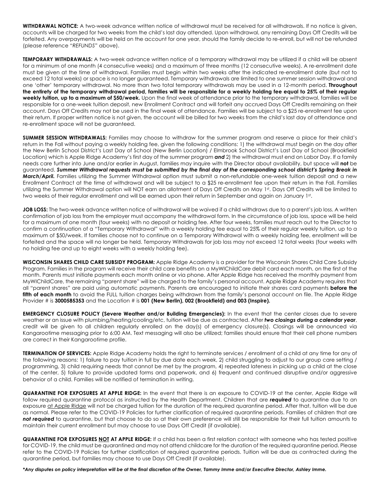**WITHDRAWAL NOTICE:** A two-week advance written notice of withdrawal must be received for all withdrawals. If no notice is given, accounts will be charged for two weeks from the child's last day attended. Upon withdrawal, any remaining Days Off Credits will be forfeited. Any overpayments will be held on the account for one year, should the family decide to re-enroll, but will not be refunded (please reference "*REFUNDS*" above).

**TEMPORARY WITHDRAWALS:** A two-week advance written notice of a temporary withdrawal may be utilized if a child will be absent for a minimum of one month (4 consecutive weeks) and a maximum of three months (12 consecutive weeks). A re-enrollment date must be given at the time of withdrawal. Families must begin within two weeks after the indicated re-enrollment date (but not to exceed 12 total weeks) or space is no longer guaranteed. Temporary withdrawals are limited to one summer session withdrawal and one 'other' temporary withdrawal. No more than two total temporary withdrawals may be used in a 12-month period. **Throughout the entirety of the temporary withdrawal period, families will be responsible for a weekly holding fee equal to 25% of their regular weekly tuition, up to a maximum of \$50/week.** Upon the final week of attendance prior to the temporary withdrawal, families will be responsible for a one-week tuition deposit, new Enrollment Contract and will forfeit any accrued Days Off Credits remaining on their account. Days Off Credits may not be used in the final week of attendance. Families will be subject to a \$25 re-enrollment fee upon their return. If proper written notice is not given, the account will be billed for two weeks from the child's last day of attendance and re-enrollment space will not be guaranteed.

**SUMMER SESSION WITHDRAWALS:** Families may choose to withdraw for the summer program and reserve a place for their child's return in the Fall without paying a weekly holding fee, given the following conditions: 1) the withdrawal must begin on the day after the New Berlin School District's Last Day of School (New Berlin Location) / Elmbrook School District's Last Day of School (Brookfield Location) which is Apple Ridge Academy's first day of the summer program *and* 2) the withdrawal must end on Labor Day. If a family needs care further into June and/or earlier in August, families may inquire with the Director about availability, but space will **not** be guaranteed. *Summer Withdrawal requests must be submitted by the final day of the corresponding school district's Spring Break in March/April.* Families utilizing the Summer Withdrawal option must submit a non-refundable one-week tuition deposit and a new Enrollment Contract at the time of withdrawal and will be subject to a \$25 re-enrollment fee upon their return in the Fall. Families utilizing the Summer Withdrawal option will NOT earn an allotment of Days Off Credits on May 1st. Days Off Credits will be limited to two weeks of their regular enrollment and will be earned upon their return in September and again on January 1st.

**JOB LOSS:** The two-week advance written notice of withdrawal will be waived if a child withdraws due to a parent's job loss. A written confirmation of job loss from the employer must accompany the withdrawal form. In the circumstance of job loss, space will be held for a maximum of one month (four weeks) with no deposit or holding fee. After four weeks, families must reach out to the Director to confirm a continuation of a "Temporary Withdrawal" with a weekly holding fee equal to 25% of their regular weekly tuition, up to a maximum of \$50/week. If families choose not to continue on a Temporary Withdrawal with a weekly holding fee, enrollment will be forfeited and the space will no longer be held. Temporary Withdrawals for job loss may not exceed 12 total weeks (four weeks with no holding fee and up to eight weeks with a weekly holding fee).

**WISCONSIN SHARES CHILD CARE SUBSIDY PROGRAM:** Apple Ridge Academy is a provider for the Wisconsin Shares Child Care Subsidy Program. Families in the program will receive their child care benefits on a MyWIChildCare debit card each month, on the first of the month. Parents must initiate payments each month online or via phone. After Apple Ridge has received the monthly payment from MyWIChildCare, the remaining "parent share" will be charged to the family's personal account. Apple Ridge Academy requires that all "parent shares" are paid using automatic payments. Parents are encouraged to initiate their shares card payments **before the**  fifth of each month to avoid the FULL tuition charges being withdrawn from the family's personal account on file. The Apple Ridge Provider # is **3000585353** and the Location # is **001 (New Berlin), 002 (Brookfield) and 003 (Inspire).**

**EMERGENCY CLOSURE POLICY (Severe Weather and/or Building Emergencies):** In the event that the center closes due to severe weather or an issue with plumbing/heating/cooling/etc, tuition will be due as contracted. After *two closings during a calendar year*, credit will be given to all children regularly enrolled on the day(s) of emergency closure(s). Closings will be announced via Kangarootime messaging prior to 6:00 AM. Text messaging will also be utilized; families should ensure that their cell phone numbers are correct in their Kangarootime profile.

**TERMINATION OF SERVICES:** Apple Ridge Academy holds the right to terminate services / enrollment of a child at any time for any of the following reasons: 1) failure to pay tuition in full by due date each week, 2) child struggling to adjust to our group care setting / programming, 3) child requiring needs that cannot be met by the program, 4) repeated lateness in picking up a child at the close of the center, 5) failure to provide updated forms and paperwork, and 6) frequent and continued disruptive and/or aggressive behavior of a child. Families will be notified of termination in writing.

**QUARANTINE FOR EXPOSURES AT APPLE RIDGE:** In the event that there is an exposure to COVID-19 at the center, Apple Ridge will follow required quarantine protocol as instructed by the Health Department. Children that are *required* to quarantine due to an exposure at Apple Ridge will not be charged tuition for the duration of the required quarantine period. After that, tuition will be due as normal. Please refer to the COVID-19 Policies for further clarification of required quarantine periods. Families of children that are *not required* to quarantine, but that choose to do so at their own preference will still be responsible for their full tuition amounts to maintain their current enrollment but may choose to use Days Off Credit (if available).

**QUARANTINE FOR EXPOSURES NOT AT APPLE RIDGE:** If a child has been a first relation contact with someone who has tested positive for COVID-19, the child must be quarantined and may not attend childcare for the duration of the required quarantine period. Please refer to the COVID-19 Policies for further clarification of required quarantine periods. Tuition will be due as contracted during the quarantine period, but families may choose to use Days Off Credit (if available).

*\*Any disputes on policy interpretation will be at the final discretion of the Owner, Tammy Imme and/or Executive Director, Ashley Imme.*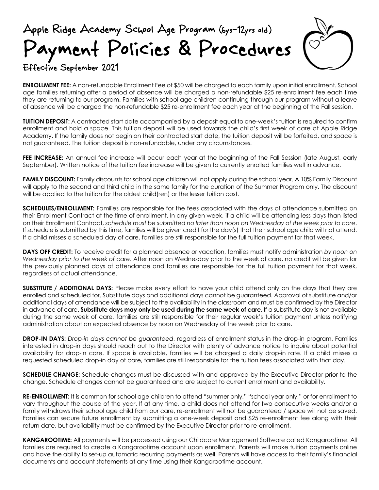### Apple Ridge Academy School Age Program (6ys-12yrs old) Payment Policies & Procedures Effective September 2021



#### **ENROLLMENT FEE:** A non-refundable Enrollment Fee of \$50 will be charged to each family upon initial enrollment. School age families returning after a period of absence will be charged a non-refundable \$25 re-enrollment fee each time they are returning to our program. Families with school age children continuing through our program without a leave of absence will be charged the non-refundable \$25 re-enrollment fee each year at the beginning of the Fall session.

**TUITION DEPOSIT:** A contracted start date accompanied by a deposit equal to one-week's tuition is required to confirm enrollment and hold a space. This tuition deposit will be used towards the child's first week of care at Apple Ridge Academy. If the family does not begin on their contracted start date, the tuition deposit will be forfeited, and space is not guaranteed. The tuition deposit is non-refundable, under any circumstances.

**FEE INCREASE:** An annual fee increase will occur each year at the beginning of the Fall Session (late August, early September). Written notice of the tuition fee increase will be given to currently enrolled families well in advance.

**FAMILY DISCOUNT:** Family discounts for school age children will not apply during the school year. A 10% Family Discount will apply to the second and third child in the same family for the duration of the Summer Program only. The discount will be applied to the tuition for the oldest child(ren) or the lesser tuition cost.

**SCHEDULES/ENROLLMENT:** Families are responsible for the fees associated with the days of attendance submitted on their Enrollment Contract at the time of enrollment. In any given week, if a child will be attending less days than listed on their Enrollment Contract, *schedule must be submitted no later than noon on Wednesday of the week prior to care*. If schedule is submitted by this time, families will be given credit for the day(s) that their school age child will not attend. If a child misses a scheduled day of care, families are still responsible for the full tuition payment for that week.

**DAYS OFF CREDIT:** To receive credit for a planned absence or vacation, families must notify administration *by noon on Wednesday prior to the week of care*. After noon on Wednesday prior to the week of care, no credit will be given for the previously planned days of attendance and families are responsible for the full tuition payment for that week, regardless of actual attendance.

**SUBSTITUTE / ADDITIONAL DAYS:** Please make every effort to have your child attend only on the days that they are enrolled and scheduled for. Substitute days and additional days cannot be guaranteed. Approval of substitute and/or additional days of attendance will be subject to the availability in the classroom and must be confirmed by the Director in advance of care. **Substitute days may only be used during the same week of care.** If a substitute day is not available during the same week of care, families are still responsible for their regular week's tuition payment unless notifying administration about an expected absence by noon on Wednesday of the week prior to care.

**DROP-IN DAYS:** *Drop-in days cannot be guaranteed*, regardless of enrollment status in the drop-in program. Families interested in drop-in days should reach out to the Director with plenty of advance notice to inquire about potential availability for drop-in care. If space is available, families will be charged a daily drop-in rate. If a child misses a requested scheduled drop-in day of care, families are still responsible for the tuition fees associated with that day.

**SCHEDULE CHANGE:** Schedule changes must be discussed with and approved by the Executive Director prior to the change. Schedule changes cannot be guaranteed and are subject to current enrollment and availability.

**RE-ENROLLMENT:** It is common for school age children to attend "summer only," "school year only," or for enrollment to vary throughout the course of the year. If at any time, a child does not attend for two consecutive weeks and/or a family withdraws their school age child from our care, re-enrollment will not be guaranteed / space will not be saved. Families can secure future enrollment by submitting a one-week deposit and \$25 re-enrollment fee along with their return date, but availability must be confirmed by the Executive Director prior to re-enrollment.

**KANGAROOTIME:** All payments will be processed using our Childcare Management Software called Kangarootime. All families are required to create a Kangarootime account upon enrollment. Parents will make tuition payments online and have the ability to set-up automatic recurring payments as well. Parents will have access to their family's financial documents and account statements at any time using their Kangarootime account.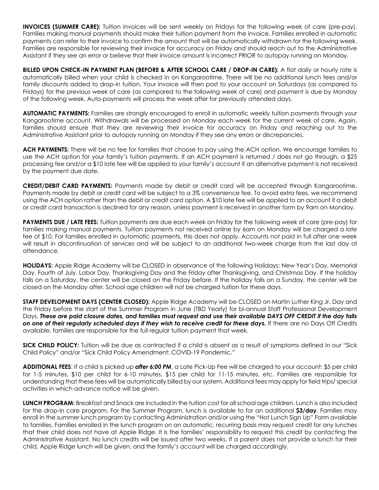**INVOICES (SUMMER CARE):** Tuition invoices will be sent weekly on Fridays for the following week of care (pre-pay). Families making manual payments should make their tuition payment from the invoice. Families enrolled in automatic payments can refer to their invoice to confirm the amount that will be automatically withdrawn for the following week. Families are responsible for reviewing their invoice for accuracy on Friday and should reach out to the Administrative Assistant if they see an error or believe that their invoice amount is incorrect PRIOR to autopay running on Monday.

**BILLED UPON CHECK-IN PAYMENT PLAN (BEFORE & AFTER SCHOOL CARE / DROP-IN CARE):** A flat daily or hourly rate is automatically billed when your child is checked in on Kangarootime. There will be no additional lunch fees and/or family discounts added to drop-in tuition. Your invoice will then post to your account on Saturdays (as compared to Fridays) for the previous week of care (as compared to the following week of care) and payment is due by Monday of the following week. Auto-payments will process the week after for previously attended days.

**AUTOMATIC PAYMENTS:** Families are strongly encouraged to enroll in automatic weekly tuition payments through your Kangarootime account. Withdrawals will be processed on Monday each week for the current week of care. Again, families should ensure that they are reviewing their invoice for accuracy on Friday and reaching out to the Administrative Assistant prior to autopay running on Monday if they see any errors or discrepancies.

**ACH PAYMENTS:** There will be no fee for families that choose to pay using the ACH option. We encourage families to use the ACH option for your family's tuition payments. If an ACH payment is returned / does not go through, a \$25 processing fee and/or a \$10 late fee will be applied to your family's account if an alternative payment is not received by the payment due date.

**CREDIT/DEBIT CARD PAYMENTS:** Payments made by debit or credit card will be accepted through Kangarootime. Payments made by debit or credit card will be subject to a 3% convenience fee. To avoid extra fees, we recommend using the ACH option rather than the debit or credit card option. A \$10 late fee will be applied to an account if a debit or credit card transaction is declined for any reason, unless payment is received in another form by 9am on Monday.

**PAYMENTS DUE / LATE FEES:** Tuition payments are due each week on Friday for the following week of care (pre-pay) for families making manual payments. Tuition payments not received online by 6am on Monday will be charged a late fee of \$10. For families enrolled in automatic payments, this does not apply. Accounts not paid in full after one week will result in discontinuation of services and will be subject to an additional two-week charge from the last day of attendance.

**HOLIDAYS:** Apple Ridge Academy will be CLOSED in observance of the following Holidays: New Year's Day, Memorial Day, Fourth of July, Labor Day, Thanksgiving Day and the Friday after Thanksgiving, and Christmas Day. If the holiday falls on a Saturday, the center will be closed on the Friday before. If the holiday falls on a Sunday, the center will be closed on the Monday after. School age children will not be charged tuition for these days.

**STAFF DEVELOPMENT DAYS (CENTER CLOSED):** Apple Ridge Academy will be CLOSED on Martin Luther King Jr. Day and the Friday before the start of the Summer Program in June (TBD Yearly) for bi-annual Staff Professional Development Days. *These are paid closure dates, and families must request and use their available DAYS OFF CREDIT if the day falls on one of their regularly scheduled days if they wish to receive credit for these days.* If there are no Days Off Credits available, families are responsible for the full regular tuition payment that week.

**SICK CHILD POLICY:** Tuition will be due as contracted if a child is absent as a result of symptoms defined in our "Sick Child Policy" and/or "Sick Child Policy Amendment: COVID-19 Pandemic."

**ADDITIONAL FEES**: If a child is picked up *after 6:00 PM*, a Late Pick-Up Fee will be charged to your account: \$5 per child for 1-5 minutes, \$10 per child for 6-10 minutes, \$15 per child for 11-15 minutes, etc. Families are responsible for understanding that these fees will be automatically billed by our system. Additional fees may apply for field trips/ special activities in which advance notice will be given.

**LUNCH PROGRAM:** Breakfast and Snack are included in the tuition cost for all school age children. Lunch is also included for the drop-in care program. For the Summer Program, lunch is available to for an additional **\$3/day**. Families may enroll in the summer lunch program by contacting Administration and/or using the "Hot Lunch Sign Up" Form available to families. Families enrolled in the lunch program on an automatic, recurring basis may request credit for any lunches that their child does not have at Apple Ridge. It is the families' responsibility to request this credit by contacting the Administrative Assistant. No lunch credits will be issued after two weeks. If a parent does not provide a lunch for their child, Apple Ridge lunch will be given, and the family's account will be charged accordingly.